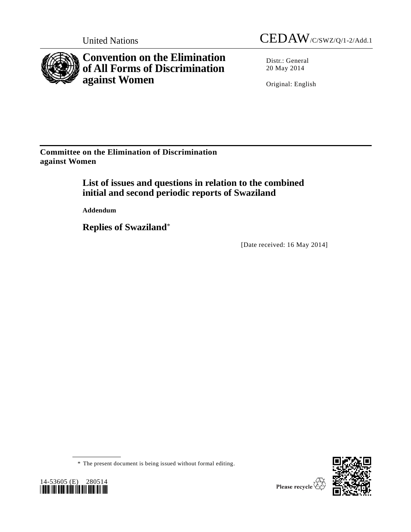

**Convention on the Elimination of All Forms of Discrimination against Women**

Distr.: General 20 May 2014

Original: English

**Committee on the Elimination of Discrimination against Women**

> **List of issues and questions in relation to the combined initial and second periodic reports of Swaziland**

**Addendum**

**Replies of Swaziland**\*

[Date received: 16 May 2014]

\* The present document is being issued without formal editing.



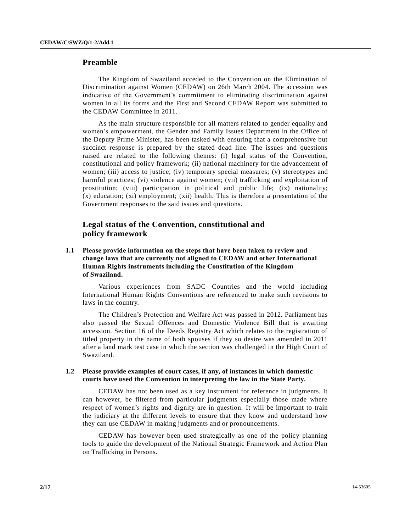# **Preamble**

The Kingdom of Swaziland acceded to the Convention on the Elimination of Discrimination against Women (CEDAW) on 26th March 2004. The accession was indicative of the Government's commitment to eliminating discrimination against women in all its forms and the First and Second CEDAW Report was submitted to the CEDAW Committee in 2011.

As the main structure responsible for all matters related to gender equality and women's empowerment, the Gender and Family Issues Department in the Office of the Deputy Prime Minister, has been tasked with ensuring that a comprehensive but succinct response is prepared by the stated dead line. The issues and questions raised are related to the following themes: (i) legal status of the Convention, constitutional and policy framework; (ii) national machinery for the advancement of women; (iii) access to justice; (iv) temporary special measures; (v) stereotypes and harmful practices; (vi) violence against women; (vii) trafficking and exploitation of prostitution; (viii) participation in political and public life; (ix) nationality; (x) education; (xi) employment; (xii) health. This is therefore a presentation of the Government responses to the said issues and questions.

# **Legal status of the Convention, constitutional and policy framework**

**1.1 Please provide information on the steps that have been taken to review and change laws that are currently not aligned to CEDAW and other International Human Rights instruments including the Constitution of the Kingdom of Swaziland.**

Various experiences from SADC Countries and the world including International Human Rights Conventions are referenced to make such revisions to laws in the country.

The Children's Protection and Welfare Act was passed in 2012. Parliament has also passed the Sexual Offences and Domestic Violence Bill that is awaiting accession. Section 16 of the Deeds Registry Act which relates to the registration of titled property in the name of both spouses if they so desire was amended in 2011 after a land mark test case in which the section was challenged in the High Court of Swaziland.

### **1.2 Please provide examples of court cases, if any, of instances in which domestic courts have used the Convention in interpreting the law in the State Party.**

CEDAW has not been used as a key instrument for reference in judgments. It can however, be filtered from particular judgments especially those made where respect of women's rights and dignity are in question. It will be important to train the judiciary at the different levels to ensure that they know and understand how they can use CEDAW in making judgments and or pronouncements.

CEDAW has however been used strategically as one of the policy planning tools to guide the development of the National Strategic Framework and Action Plan on Trafficking in Persons.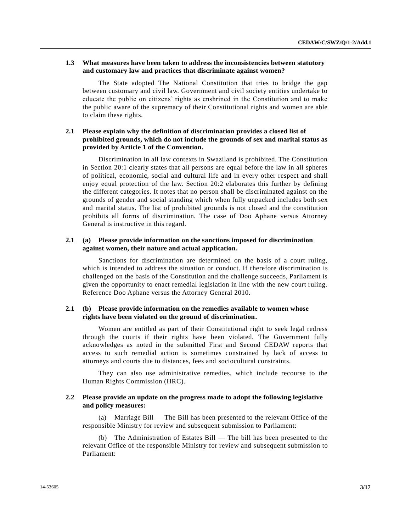### **1.3 What measures have been taken to address the inconsistencies between statutory and customary law and practices that discriminate against women?**

The State adopted The National Constitution that tries to bridge the gap between customary and civil law. Government and civil society entities undertake to educate the public on citizens' rights as enshrined in the Constitution and to make the public aware of the supremacy of their Constitutional rights and women are able to claim these rights.

## **2.1 Please explain why the definition of discrimination provides a closed list of prohibited grounds, which do not include the grounds of sex and marital status as provided by Article 1 of the Convention.**

Discrimination in all law contexts in Swaziland is prohibited. The Constitution in Section 20:1 clearly states that all persons are equal before the law in all spheres of political, economic, social and cultural life and in every other respect and shall enjoy equal protection of the law. Section 20:2 elaborates this further by defining the different categories. It notes that no person shall be discriminated against on the grounds of gender and social standing which when fully unpacked includes both sex and marital status. The list of prohibited grounds is not closed and the constitution prohibits all forms of discrimination. The case of Doo Aphane versus Attorney General is instructive in this regard.

### **2.1 (a) Please provide information on the sanctions imposed for discrimination against women, their nature and actual application.**

Sanctions for discrimination are determined on the basis of a court ruling, which is intended to address the situation or conduct. If therefore discrimination is challenged on the basis of the Constitution and the challenge succeeds, Parliament is given the opportunity to enact remedial legislation in line with the new court ruling. Reference Doo Aphane versus the Attorney General 2010.

# **2.1 (b) Please provide information on the remedies available to women whose rights have been violated on the ground of discrimination.**

Women are entitled as part of their Constitutional right to seek legal redress through the courts if their rights have been violated. The Government fully acknowledges as noted in the submitted First and Second CEDAW reports that access to such remedial action is sometimes constrained by lack of access to attorneys and courts due to distances, fees and sociocultural constraints.

They can also use administrative remedies, which include recourse to the Human Rights Commission (HRC).

### **2.2 Please provide an update on the progress made to adopt the following legislative and policy measures:**

(a) Marriage Bill — The Bill has been presented to the relevant Office of the responsible Ministry for review and subsequent submission to Parliament:

(b) The Administration of Estates Bill — The bill has been presented to the relevant Office of the responsible Ministry for review and subsequent submission to Parliament: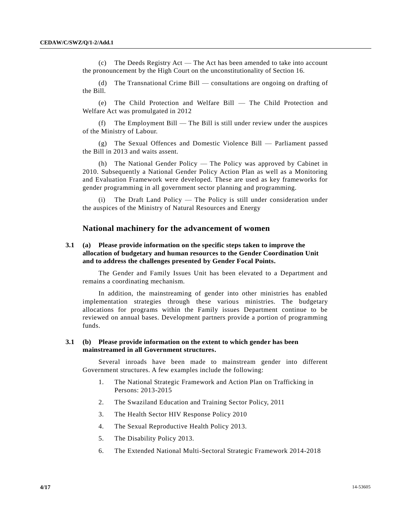(c) The Deeds Registry Act — The Act has been amended to take into account the pronouncement by the High Court on the unconstitutionality of Section 16.

(d) The Transnational Crime Bill — consultations are ongoing on drafting of the Bill.

(e) The Child Protection and Welfare Bill — The Child Protection and Welfare Act was promulgated in 2012

(f) The Employment Bill — The Bill is still under review under the auspices of the Ministry of Labour.

(g) The Sexual Offences and Domestic Violence Bill — Parliament passed the Bill in 2013 and waits assent.

(h) The National Gender Policy — The Policy was approved by Cabinet in 2010. Subsequently a National Gender Policy Action Plan as well as a Monitoring and Evaluation Framework were developed. These are used as key frameworks for gender programming in all government sector planning and programming.

The Draft Land Policy  $-$  The Policy is still under consideration under the auspices of the Ministry of Natural Resources and Energy

### **National machinery for the advancement of women**

## **3.1 (a) Please provide information on the specific steps taken to improve the allocation of budgetary and human resources to the Gender Coordination Unit and to address the challenges presented by Gender Focal Points.**

The Gender and Family Issues Unit has been elevated to a Department and remains a coordinating mechanism.

In addition, the mainstreaming of gender into other ministries has enabled implementation strategies through these various ministries. The budgetary allocations for programs within the Family issues Department continue to be reviewed on annual bases. Development partners provide a portion of programming funds.

#### **3.1 (b) Please provide information on the extent to which gender has been mainstreamed in all Government structures.**

Several inroads have been made to mainstream gender into different Government structures. A few examples include the following:

- 1. The National Strategic Framework and Action Plan on Trafficking in Persons: 2013-2015
- 2. The Swaziland Education and Training Sector Policy, 2011
- 3. The Health Sector HIV Response Policy 2010
- 4. The Sexual Reproductive Health Policy 2013.
- 5. The Disability Policy 2013.
- 6. The Extended National Multi-Sectoral Strategic Framework 2014-2018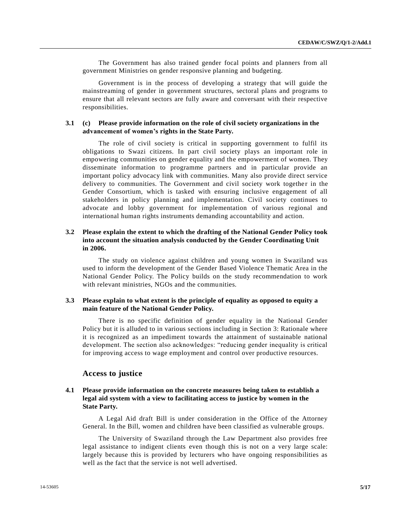The Government has also trained gender focal points and planners from all government Ministries on gender responsive planning and budgeting.

Government is in the process of developing a strategy that will guide the mainstreaming of gender in government structures, sectoral plans and programs to ensure that all relevant sectors are fully aware and conversant with their respective responsibilities.

#### **3.1 (c) Please provide information on the role of civil society organizations in the advancement of women's rights in the State Party.**

The role of civil society is critical in supporting government to fulfil its obligations to Swazi citizens. In part civil society plays an important role in empowering communities on gender equality and the empowerment of women. They disseminate information to programme partners and in particular provide an important policy advocacy link with communities. Many also provide direct service delivery to communities. The Government and civil society work together in the Gender Consortium, which is tasked with ensuring inclusive engagement of all stakeholders in policy planning and implementation. Civil society continues to advocate and lobby government for implementation of various regional and international human rights instruments demanding accountability and action.

### **3.2 Please explain the extent to which the drafting of the National Gender Policy took into account the situation analysis conducted by the Gender Coordinating Unit in 2006.**

The study on violence against children and young women in Swaziland was used to inform the development of the Gender Based Violence Thematic Area in the National Gender Policy. The Policy builds on the study recommendation to work with relevant ministries, NGOs and the communities.

### **3.3 Please explain to what extent is the principle of equality as opposed to equity a main feature of the National Gender Policy.**

There is no specific definition of gender equality in the National Gender Policy but it is alluded to in various sections including in Section 3: Rationale where it is recognized as an impediment towards the attainment of sustainable national development. The section also acknowledges: "reducing gender inequality is critical for improving access to wage employment and control over productive resources.

### **Access to justice**

### **4.1 Please provide information on the concrete measures being taken to establish a legal aid system with a view to facilitating access to justice by women in the State Party.**

A Legal Aid draft Bill is under consideration in the Office of the Attorney General. In the Bill, women and children have been classified as vulnerable groups.

The University of Swaziland through the Law Department also provides free legal assistance to indigent clients even though this is not on a very large scale: largely because this is provided by lecturers who have ongoing responsibilities as well as the fact that the service is not well advertised.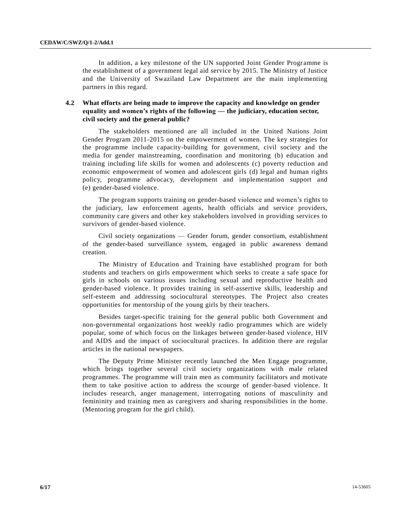In addition, a key milestone of the UN supported Joint Gender Programme is the establishment of a government legal aid service by 2015. The Ministry of Justice and the University of Swaziland Law Department are the main implementing partners in this regard.

# **4.2 What efforts are being made to improve the capacity and knowledge on gender equality and women's rights of the following — the judiciary, education sector, civil society and the general public?**

The stakeholders mentioned are all included in the United Nations Joint Gender Program 2011-2015 on the empowerment of women. The key strategies for the programme include capacity-building for government, civil society and the media for gender mainstreaming, coordination and monitoring (b) education and training including life skills for women and adolescents (c) poverty reduction and economic empowerment of women and adolescent girls (d) legal and human rights policy, programme advocacy, development and implementation support and (e) gender-based violence.

The program supports training on gender-based violence and women's rights to the judiciary, law enforcement agents, health officials and service providers, community care givers and other key stakeholders involved in providing services to survivors of gender-based violence.

Civil society organizations — Gender forum, gender consortium, establishment of the gender-based surveillance system, engaged in public awareness demand creation.

The Ministry of Education and Training have established program for both students and teachers on girls empowerment which seeks to create a safe space for girls in schools on various issues including sexual and reproductive health and gender-based violence. It provides training in self-assertive skills, leadership and self-esteem and addressing sociocultural stereotypes. The Project also creates opportunities for mentorship of the young girls by their teachers.

Besides target-specific training for the general public both Government and non-governmental organizations host weekly radio programmes which are widely popular, some of which focus on the linkages between gender-based violence, HIV and AIDS and the impact of sociocultural practices. In addition there are regular articles in the national newspapers.

The Deputy Prime Minister recently launched the Men Engage programme, which brings together several civil society organizations with male related programmes. The programme will train men as community facilitators and motivate them to take positive action to address the scourge of gender-based violence. It includes research, anger management, interrogating notions of masculinity and femininity and training men as caregivers and sharing responsibilities in the home. (Mentoring program for the girl child).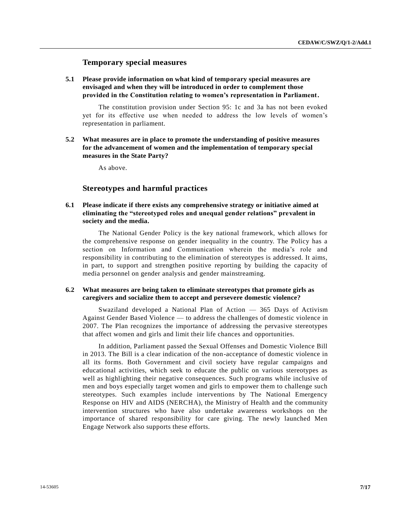## **Temporary special measures**

**5.1 Please provide information on what kind of temporary special measures are envisaged and when they will be introduced in order to complement those provided in the Constitution relating to women's representation in Parliament.**

The constitution provision under Section 95: 1c and 3a has not been evoked yet for its effective use when needed to address the low levels of women's representation in parliament.

**5.2 What measures are in place to promote the understanding of positive measures for the advancement of women and the implementation of temporary special measures in the State Party?**

As above.

# **Stereotypes and harmful practices**

## **6.1 Please indicate if there exists any comprehensive strategy or initiative aimed at eliminating the "stereotyped roles and unequal gender relations" prevalent in society and the media.**

The National Gender Policy is the key national framework, which allows for the comprehensive response on gender inequality in the country. The Policy has a section on Information and Communication wherein the media's role and responsibility in contributing to the elimination of stereotypes is addressed. It aims, in part, to support and strengthen positive reporting by building the capacity of media personnel on gender analysis and gender mainstreaming.

#### **6.2 What measures are being taken to eliminate stereotypes that promote girls as caregivers and socialize them to accept and persevere domestic violence?**

Swaziland developed a National Plan of Action — 365 Days of Activism Against Gender Based Violence — to address the challenges of domestic violence in 2007. The Plan recognizes the importance of addressing the pervasive stereotypes that affect women and girls and limit their life chances and opportunities.

In addition, Parliament passed the Sexual Offenses and Domestic Violence Bill in 2013. The Bill is a clear indication of the non-acceptance of domestic violence in all its forms. Both Government and civil society have regular campaigns and educational activities, which seek to educate the public on various stereotypes as well as highlighting their negative consequences. Such programs while inclusive of men and boys especially target women and girls to empower them to challenge such stereotypes. Such examples include interventions by The National Emergency Response on HIV and AIDS (NERCHA), the Ministry of Health and the community intervention structures who have also undertake awareness workshops on the importance of shared responsibility for care giving. The newly launched Men Engage Network also supports these efforts.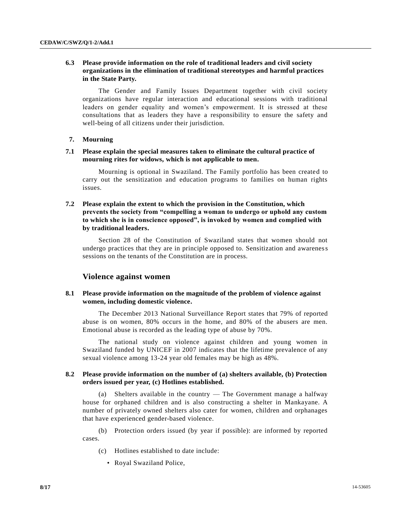# **6.3 Please provide information on the role of traditional leaders and civil society organizations in the elimination of traditional stereotypes and harmful practices in the State Party.**

The Gender and Family Issues Department together with civil society organizations have regular interaction and educational sessions with traditional leaders on gender equality and women's empowerment. It is stressed at these consultations that as leaders they have a responsibility to ensure the safety and well-being of all citizens under their jurisdiction.

#### **7. Mourning**

### **7.1 Please explain the special measures taken to eliminate the cultural practice of mourning rites for widows, which is not applicable to men.**

Mourning is optional in Swaziland. The Family portfolio has been created to carry out the sensitization and education programs to families on human rights issues.

# **7.2 Please explain the extent to which the provision in the Constitution, which prevents the society from "compelling a woman to undergo or uphold any custom to which she is in conscience opposed", is invoked by women and complied with by traditional leaders.**

Section 28 of the Constitution of Swaziland states that women should not undergo practices that they are in principle opposed to. Sensitization and awareness sessions on the tenants of the Constitution are in process.

# **Violence against women**

## **8.1 Please provide information on the magnitude of the problem of violence against women, including domestic violence.**

The December 2013 National Surveillance Report states that 79% of reported abuse is on women, 80% occurs in the home, and 80% of the abusers are men. Emotional abuse is recorded as the leading type of abuse by 70%.

The national study on violence against children and young women in Swaziland funded by UNICEF in 2007 indicates that the lifetime prevalence of any sexual violence among 13-24 year old females may be high as 48%.

### **8.2 Please provide information on the number of (a) shelters available, (b) Protection orders issued per year, (c) Hotlines established.**

(a) Shelters available in the country — The Government manage a halfway house for orphaned children and is also constructing a shelter in Mankayane. A number of privately owned shelters also cater for women, children and orphanages that have experienced gender-based violence.

(b) Protection orders issued (by year if possible): are informed by reported cases.

- (c) Hotlines established to date include:
	- Royal Swaziland Police,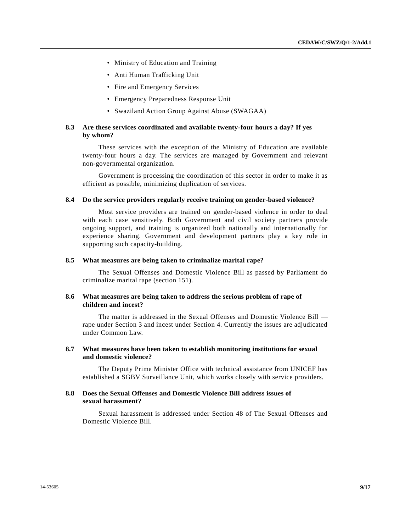- Ministry of Education and Training
- Anti Human Trafficking Unit
- Fire and Emergency Services
- Emergency Preparedness Response Unit
- Swaziland Action Group Against Abuse (SWAGAA)

### **8.3 Are these services coordinated and available twenty-four hours a day? If yes by whom?**

These services with the exception of the Ministry of Education are available twenty-four hours a day. The services are managed by Government and relevant non-governmental organization.

Government is processing the coordination of this sector in order to make it as efficient as possible, minimizing duplication of services.

#### **8.4 Do the service providers regularly receive training on gender-based violence?**

Most service providers are trained on gender-based violence in order to deal with each case sensitively. Both Government and civil society partners provide ongoing support, and training is organized both nationally and internationally for experience sharing. Government and development partners play a key role in supporting such capacity-building.

#### **8.5 What measures are being taken to criminalize marital rape?**

The Sexual Offenses and Domestic Violence Bill as passed by Parliament do criminalize marital rape (section 151).

#### **8.6 What measures are being taken to address the serious problem of rape of children and incest?**

The matter is addressed in the Sexual Offenses and Domestic Violence Bill rape under Section 3 and incest under Section 4. Currently the issues are adjudicated under Common Law.

### **8.7 What measures have been taken to establish monitoring institutions for sexual and domestic violence?**

The Deputy Prime Minister Office with technical assistance from UNICEF has established a SGBV Surveillance Unit, which works closely with service providers.

#### **8.8 Does the Sexual Offenses and Domestic Violence Bill address issues of sexual harassment?**

Sexual harassment is addressed under Section 48 of The Sexual Offenses and Domestic Violence Bill.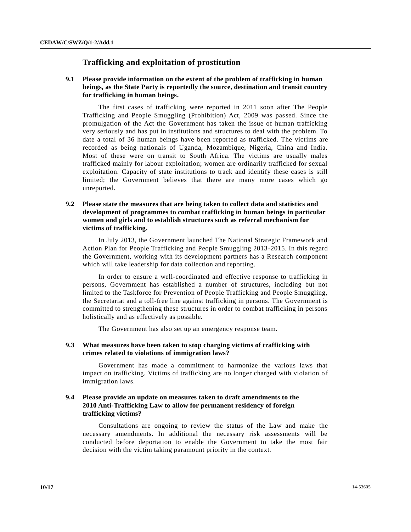# **Trafficking and exploitation of prostitution**

# **9.1 Please provide information on the extent of the problem of trafficking in human beings, as the State Party is reportedly the source, destination and transit country for trafficking in human beings.**

The first cases of trafficking were reported in 2011 soon after The People Trafficking and People Smuggling (Prohibition) Act, 2009 was passed. Since the promulgation of the Act the Government has taken the issue of human trafficking very seriously and has put in institutions and structures to deal with the problem. To date a total of 36 human beings have been reported as trafficked. The victims are recorded as being nationals of Uganda, Mozambique, Nigeria, China and India. Most of these were on transit to South Africa. The victims are usually males trafficked mainly for labour exploitation; women are ordinarily trafficked for sexual exploitation. Capacity of state institutions to track and identify these cases is still limited; the Government believes that there are many more cases which go unreported.

## **9.2 Please state the measures that are being taken to collect data and statistics and development of programmes to combat trafficking in human beings in particular women and girls and to establish structures such as referral mechanism for victims of trafficking.**

In July 2013, the Government launched The National Strategic Framework and Action Plan for People Trafficking and People Smuggling 2013-2015. In this regard the Government, working with its development partners has a Research component which will take leadership for data collection and reporting.

In order to ensure a well-coordinated and effective response to trafficking in persons, Government has established a number of structures, including but not limited to the Taskforce for Prevention of People Trafficking and People Smuggling, the Secretariat and a toll-free line against trafficking in persons. The Government is committed to strengthening these structures in order to combat trafficking in persons holistically and as effectively as possible.

The Government has also set up an emergency response team.

### **9.3 What measures have been taken to stop charging victims of trafficking with crimes related to violations of immigration laws?**

Government has made a commitment to harmonize the various laws that impact on trafficking. Victims of trafficking are no longer charged with violation of immigration laws.

## **9.4 Please provide an update on measures taken to draft amendments to the 2010 Anti-Trafficking Law to allow for permanent residency of foreign trafficking victims?**

Consultations are ongoing to review the status of the Law and make the necessary amendments. In additional the necessary risk assessments will be conducted before deportation to enable the Government to take the most fair decision with the victim taking paramount priority in the context.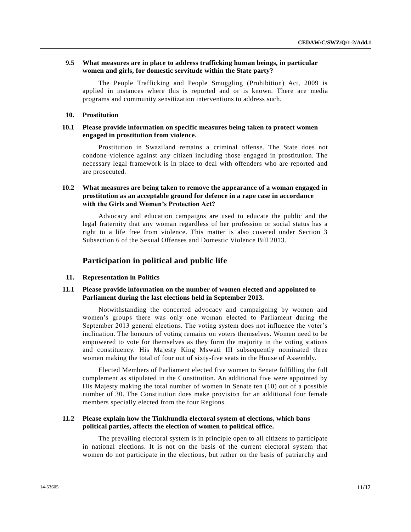## **9.5 What measures are in place to address trafficking human beings, in particular women and girls, for domestic servitude within the State party?**

The People Trafficking and People Smuggling (Prohibition) Act, 2009 is applied in instances where this is reported and or is known. There are media programs and community sensitization interventions to address such.

#### **10. Prostitution**

### **10.1 Please provide information on specific measures being taken to protect women engaged in prostitution from violence.**

Prostitution in Swaziland remains a criminal offense. The State does not condone violence against any citizen including those engaged in prostitution. The necessary legal framework is in place to deal with offenders who are reported and are prosecuted.

### **10.2 What measures are being taken to remove the appearance of a woman engaged in prostitution as an acceptable ground for defence in a rape case in accordance with the Girls and Women's Protection Act?**

Advocacy and education campaigns are used to educate the public and the legal fraternity that any woman regardless of her profession or social status has a right to a life free from violence. This matter is also covered under Section 3 Subsection 6 of the Sexual Offenses and Domestic Violence Bill 2013.

#### **Participation in political and public life**

#### **11. Representation in Politics**

#### **11.1 Please provide information on the number of women elected and appointed to Parliament during the last elections held in September 2013.**

Notwithstanding the concerted advocacy and campaigning by women and women's groups there was only one woman elected to Parliament during the September 2013 general elections. The voting system does not influence the voter's inclination. The honours of voting remains on voters themselves. Women need to be empowered to vote for themselves as they form the majority in the voting stations and constituency. His Majesty King Mswati III subsequently nominated three women making the total of four out of sixty-five seats in the House of Assembly.

Elected Members of Parliament elected five women to Senate fulfilling the full complement as stipulated in the Constitution. An additional five were appointed by His Majesty making the total number of women in Senate ten (10) out of a possible number of 30. The Constitution does make provision for an additional four female members specially elected from the four Regions.

### **11.2 Please explain how the Tinkhundla electoral system of elections, which bans political parties, affects the election of women to political office.**

The prevailing electoral system is in principle open to all citizens to participate in national elections. It is not on the basis of the current electoral system that women do not participate in the elections, but rather on the basis of patriarchy and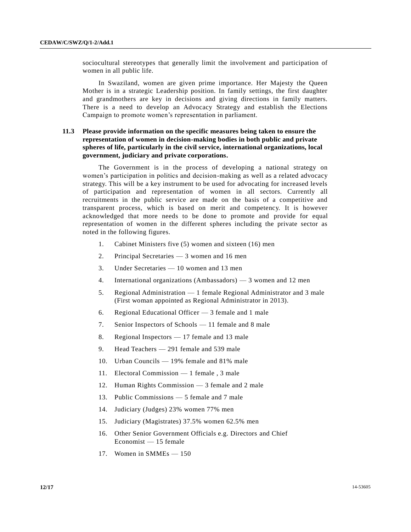sociocultural stereotypes that generally limit the involvement and participation of women in all public life.

In Swaziland, women are given prime importance. Her Majesty the Queen Mother is in a strategic Leadership position. In family settings, the first daughter and grandmothers are key in decisions and giving directions in family matters. There is a need to develop an Advocacy Strategy and establish the Elections Campaign to promote women's representation in parliament.

# **11.3 Please provide information on the specific measures being taken to ensure the representation of women in decision-making bodies in both public and private spheres of life, particularly in the civil service, international organizations, local government, judiciary and private corporations.**

The Government is in the process of developing a national strategy on women's participation in politics and decision-making as well as a related advocacy strategy. This will be a key instrument to be used for advocating for increased levels of participation and representation of women in all sectors. Currently all recruitments in the public service are made on the basis of a competitive and transparent process, which is based on merit and competency. It is however acknowledged that more needs to be done to promote and provide for equal representation of women in the different spheres including the private sector as noted in the following figures.

- 1. Cabinet Ministers five (5) women and sixteen (16) men
- 2. Principal Secretaries 3 women and 16 men
- 3. Under Secretaries 10 women and 13 men
- 4. International organizations (Ambassadors) 3 women and 12 men
- 5. Regional Administration 1 female Regional Administrator and 3 male (First woman appointed as Regional Administrator in 2013).
- 6. Regional Educational Officer 3 female and 1 male
- 7. Senior Inspectors of Schools 11 female and 8 male
- 8. Regional Inspectors 17 female and 13 male
- 9. Head Teachers 291 female and 539 male
- 10. Urban Councils 19% female and 81% male
- 11. Electoral Commission 1 female , 3 male
- 12. Human Rights Commission 3 female and 2 male
- 13. Public Commissions 5 female and 7 male
- 14. Judiciary (Judges) 23% women 77% men
- 15. Judiciary (Magistrates) 37.5% women 62.5% men
- 16. Other Senior Government Officials e.g. Directors and Chief Economist — 15 female
- 17. Women in SMMEs 150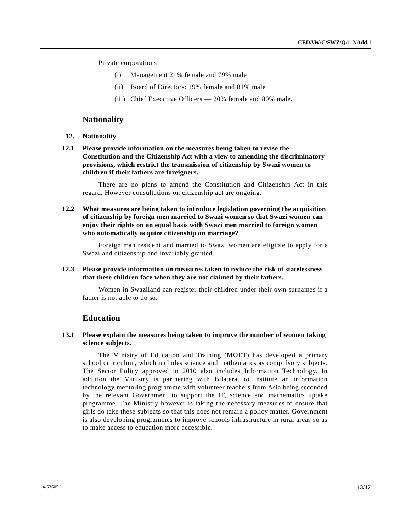Private corporations

- (i) Management 21% female and 79% male
- (ii) Board of Directors: 19% female and 81% male
- (iii) Chief Executive Officers 20% female and 80% male.

### **Nationality**

- **12. Nationality**
- **12.1 Please provide information on the measures being taken to revise the Constitution and the Citizenship Act with a view to amending the discriminatory provisions, which restrict the transmission of citizenship by Swazi women to children if their fathers are foreigners.**

There are no plans to amend the Constitution and Citizenship Act in this regard. However consultations on citizenship act are ongoing.

**12.2 What measures are being taken to introduce legislation governing the acquisition of citizenship by foreign men married to Swazi women so that Swazi women can enjoy their rights on an equal basis with Swazi men married to foreign women who automatically acquire citizenship on marriage?**

Foreign man resident and married to Swazi women are eligible to apply for a Swaziland citizenship and invariably granted.

**12.3 Please provide information on measures taken to reduce the risk of statelessness that these children face when they are not claimed by their fathers.**

Women in Swaziland can register their children under their own surnames if a father is not able to do so.

# **Education**

#### **13.1 Please explain the measures being taken to improve the number of women taking science subjects.**

The Ministry of Education and Training (MOET) has developed a primary school curriculum, which includes science and mathematics as compulsory subjects. The Sector Policy approved in 2010 also includes Information Technology. In addition the Ministry is partnering with Bilateral to institute an information technology mentoring programme with volunteer teachers from Asia being seconded by the relevant Government to support the IT, science and mathematics uptake programme. The Ministry however is taking the necessary measures to ensure that girls do take these subjects so that this does not remain a policy matter. Government is also developing programmes to improve schools infrastructure in rural areas so as to make access to education more accessible.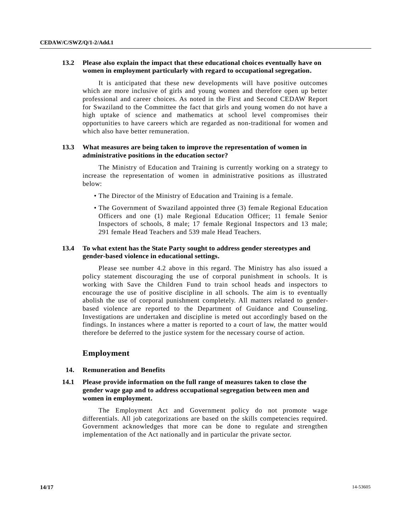# **13.2 Please also explain the impact that these educational choices eventually have on women in employment particularly with regard to occupational segregation.**

It is anticipated that these new developments will have positive outcomes which are more inclusive of girls and young women and therefore open up better professional and career choices. As noted in the First and Second CEDAW Report for Swaziland to the Committee the fact that girls and young women do not have a high uptake of science and mathematics at school level compromises their opportunities to have careers which are regarded as non-traditional for women and which also have better remuneration.

## **13.3 What measures are being taken to improve the representation of women in administrative positions in the education sector?**

The Ministry of Education and Training is currently working on a strategy to increase the representation of women in administrative positions as illustrated below:

- The Director of the Ministry of Education and Training is a female.
- The Government of Swaziland appointed three (3) female Regional Education Officers and one (1) male Regional Education Officer; 11 female Senior Inspectors of schools, 8 male; 17 female Regional Inspectors and 13 male; 291 female Head Teachers and 539 male Head Teachers.

### **13.4 To what extent has the State Party sought to address gender stereotypes and gender-based violence in educational settings.**

Please see number 4.2 above in this regard. The Ministry has also issued a policy statement discouraging the use of corporal punishment in schools. It is working with Save the Children Fund to train school heads and inspectors to encourage the use of positive discipline in all schools. The aim is to eventually abolish the use of corporal punishment completely. All matters related to genderbased violence are reported to the Department of Guidance and Counseling. Investigations are undertaken and discipline is meted out accordingly based on the findings. In instances where a matter is reported to a court of law, the matter would therefore be deferred to the justice system for the necessary course of action.

# **Employment**

#### **14. Remuneration and Benefits**

## **14.1 Please provide information on the full range of measures taken to close the gender wage gap and to address occupational segregation between men and women in employment.**

The Employment Act and Government policy do not promote wage differentials. All job categorizations are based on the skills competencies required. Government acknowledges that more can be done to regulate and strengthen implementation of the Act nationally and in particular the private sector.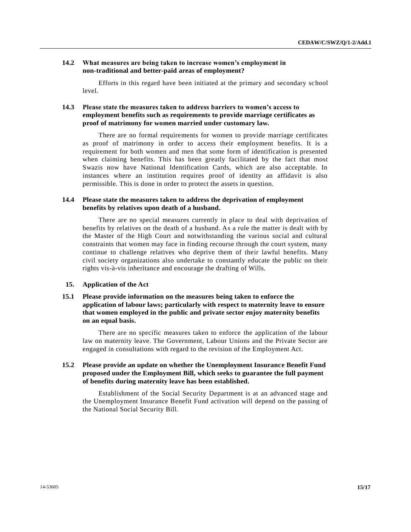### **14.2 What measures are being taken to increase women's employment in non-traditional and better-paid areas of employment?**

Efforts in this regard have been initiated at the primary and secondary sc hool level.

# **14.3 Please state the measures taken to address barriers to women's access to employment benefits such as requirements to provide marriage certificates as proof of matrimony for women married under customary law.**

There are no formal requirements for women to provide marriage certificates as proof of matrimony in order to access their employment benefits. It is a requirement for both women and men that some form of identification is presented when claiming benefits. This has been greatly facilitated by the fact that most Swazis now have National Identification Cards, which are also acceptable. In instances where an institution requires proof of identity an affidavit is also permissible. This is done in order to protect the assets in question.

### **14.4 Please state the measures taken to address the deprivation of employment benefits by relatives upon death of a husband.**

There are no special measures currently in place to deal with deprivation of benefits by relatives on the death of a husband. As a rule the matter is dealt with by the Master of the High Court and notwithstanding the various social and cultural constraints that women may face in finding recourse through the court system, many continue to challenge relatives who deprive them of their lawful benefits. Many civil society organizations also undertake to constantly educate the public on their rights vis-à-vis inheritance and encourage the drafting of Wills.

#### **15. Application of the Act**

## **15.1 Please provide information on the measures being taken to enforce the application of labour laws; particularly with respect to maternity leave to ensure that women employed in the public and private sector enjoy maternity benefits on an equal basis.**

There are no specific measures taken to enforce the application of the labour law on maternity leave. The Government, Labour Unions and the Private Sector are engaged in consultations with regard to the revision of the Employment Act.

# **15.2 Please provide an update on whether the Unemployment Insurance Benefit Fund proposed under the Employment Bill, which seeks to guarantee the full payment of benefits during maternity leave has been established.**

Establishment of the Social Security Department is at an advanced stage and the Unemployment Insurance Benefit Fund activation will depend on the passing of the National Social Security Bill.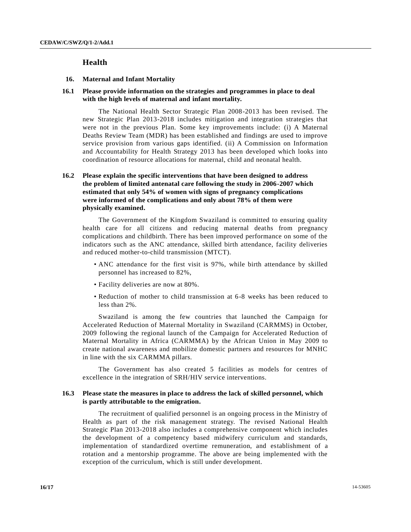# **Health**

#### **16. Maternal and Infant Mortality**

### **16.1 Please provide information on the strategies and programmes in place to deal with the high levels of maternal and infant mortality.**

The National Health Sector Strategic Plan 2008-2013 has been revised. The new Strategic Plan 2013-2018 includes mitigation and integration strategies that were not in the previous Plan. Some key improvements include: (i) A Maternal Deaths Review Team (MDR) has been established and findings are used to improve service provision from various gaps identified. (ii) A Commission on Information and Accountability for Health Strategy 2013 has been developed which looks into coordination of resource allocations for maternal, child and neonatal health.

# **16.2 Please explain the specific interventions that have been designed to address the problem of limited antenatal care following the study in 2006-2007 which estimated that only 54% of women with signs of pregnancy complications were informed of the complications and only about 78% of them were physically examined.**

The Government of the Kingdom Swaziland is committed to ensuring quality health care for all citizens and reducing maternal deaths from pregnancy complications and childbirth. There has been improved performance on some of the indicators such as the ANC attendance, skilled birth attendance, facility deliveries and reduced mother-to-child transmission (MTCT).

- ANC attendance for the first visit is 97%, while birth attendance by skilled personnel has increased to 82%,
- Facility deliveries are now at 80%.
- Reduction of mother to child transmission at 6-8 weeks has been reduced to less than 2%.

Swaziland is among the few countries that launched the Campaign for Accelerated Reduction of Maternal Mortality in Swaziland (CARMMS) in October, 2009 following the regional launch of the Campaign for Accelerated Reduction of Maternal Mortality in Africa (CARMMA) by the African Union in May 2009 to create national awareness and mobilize domestic partners and resources for MNHC in line with the six CARMMA pillars.

The Government has also created 5 facilities as models for centres of excellence in the integration of SRH/HIV service interventions.

#### **16.3 Please state the measures in place to address the lack of skilled personnel, which is partly attributable to the emigration.**

The recruitment of qualified personnel is an ongoing process in the Ministry of Health as part of the risk management strategy. The revised National Health Strategic Plan 2013-2018 also includes a comprehensive component which includes the development of a competency based midwifery curriculum and standards, implementation of standardized overtime remuneration, and establishment of a rotation and a mentorship programme. The above are being implemented with the exception of the curriculum, which is still under development.